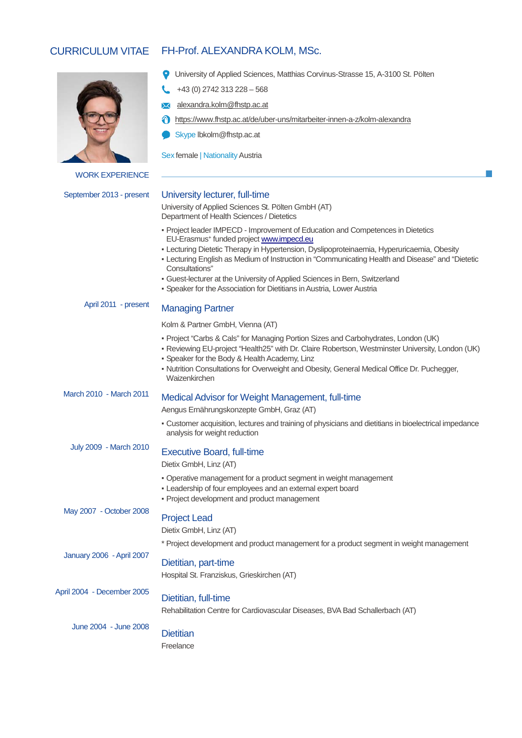# CURRICULUM VITAE FH-Prof. ALEXANDRA KOLM, MSc.



WORK EXPERIENCE

September 2013 - present

## University lecturer, full-time

+43 (0) 2742 313 228 – 568 alexandra.kolm@fhstp.ac.at

Skype lbkolm@fhstp.ac.at

Sex female | Nationality Austria

University of Applied Sciences St. Pölten GmbH (AT) Department of Health Sciences / Dietetics

▪ Project leader IMPECD - Improvement of Education and Competences in Dietetics EU-Erasmus+ funded projec[t www.impecd.eu](http://www.impecd.eu/)

University of Applied Sciences, Matthias Corvinus-Strasse 15, A-3100 St. Pölten

https://www.fhstp.ac.at/de/uber-uns/mitarbeiter-innen-a-z/kolm-alexandra

- **Lecturing Dietetic Therapy in Hypertension, Dyslipoproteinaemia, Hyperuricaemia, Obesity**
- Lecturing English as Medium of Instruction in "Communicating Health and Disease" and "Dietetic Consultations"
- Guest-lecturer at the University of Applied Sciences in Bern, Switzerland
- Speaker for the Association for Dietitians in Austria, Lower Austria

#### April 2011 - present Managing Partner

Kolm & Partner GmbH, Vienna (AT)

- Project "Carbs & Cals" for Managing Portion Sizes and Carbohydrates, London (UK)
- Reviewing EU-project "Health25" with Dr. Claire Robertson, Westminster University, London (UK)
- Speaker for the Body & Health Academy, Linz
- Nutrition Consultations for Overweight and Obesity, General Medical Office Dr. Puchegger, Waizenkirchen

#### March 2010 - March 2011 Medical Advisor for Weight Management, full-time

Aengus Ernährungskonzepte GmbH, Graz (AT)

▪ Customer acquisition, lectures and training of physicians and dietitians in bioelectrical impedance analysis for weight reduction

July 2009 - March 2010

### Executive Board, full-time

Dietix GmbH, Linz (AT)

- Operative management for a product segment in weight management
- Leadership of four employees and an external expert board
- Project development and product management

May 2007 - October 2008

# Project Lead

Dietix GmbH, Linz (AT)

\* Project development and product management for a product segment in weight management

### January 2006 -April 2007 Dietitian, part-time

Hospital St. Franziskus, Grieskirchen (AT)

#### April 2004 - December 2005 Dietitian, full-time

Rehabilitation Centre for Cardiovascular Diseases, BVA Bad Schallerbach (AT)

June 2004 - June 2008

**Dietitian** 

Freelance